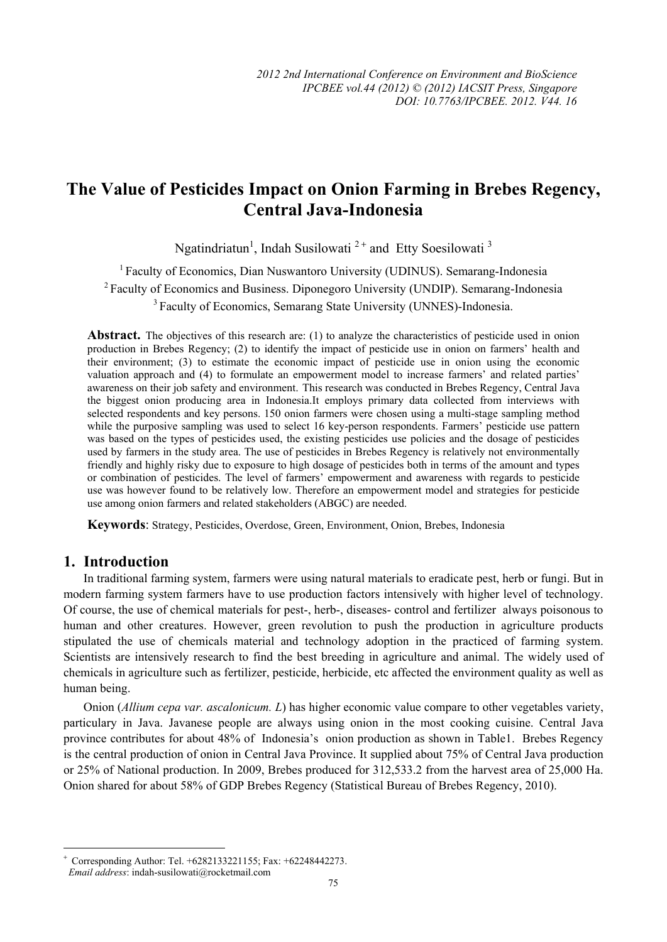# **The Value of Pesticides Impact on Onion Farming in Brebes Regency, Central Java-Indonesia**

Ngatindriatun<sup>1</sup>, Indah Susilowati<sup>2+</sup> and Etty Soesilowati<sup>3</sup>

<sup>1</sup> Faculty of Economics, Dian Nuswantoro University (UDINUS). Semarang-Indonesia 2 Faculty of Economics and Business. Diponegoro University (UNDIP). Semarang-Indonesia <sup>3</sup> Faculty of Economics, Semarang State University (UNNES)-Indonesia.

**Abstract.** The objectives of this research are: (1) to analyze the characteristics of pesticide used in onion production in Brebes Regency; (2) to identify the impact of pesticide use in onion on farmers' health and their environment; (3) to estimate the economic impact of pesticide use in onion using the economic valuation approach and (4) to formulate an empowerment model to increase farmers' and related parties' awareness on their job safety and environment. This research was conducted in Brebes Regency, Central Java the biggest onion producing area in Indonesia.It employs primary data collected from interviews with selected respondents and key persons. 150 onion farmers were chosen using a multi-stage sampling method while the purposive sampling was used to select 16 key-person respondents. Farmers' pesticide use pattern was based on the types of pesticides used, the existing pesticides use policies and the dosage of pesticides used by farmers in the study area. The use of pesticides in Brebes Regency is relatively not environmentally friendly and highly risky due to exposure to high dosage of pesticides both in terms of the amount and types or combination of pesticides. The level of farmers' empowerment and awareness with regards to pesticide use was however found to be relatively low. Therefore an empowerment model and strategies for pesticide use among onion farmers and related stakeholders (ABGC) are needed.

**Keywords**: Strategy, Pesticides, Overdose, Green, Environment, Onion, Brebes, Indonesia

# **1. Introduction**

In traditional farming system, farmers were using natural materials to eradicate pest, herb or fungi. But in modern farming system farmers have to use production factors intensively with higher level of technology. Of course, the use of chemical materials for pest-, herb-, diseases- control and fertilizer always poisonous to human and other creatures. However, green revolution to push the production in agriculture products stipulated the use of chemicals material and technology adoption in the practiced of farming system. Scientists are intensively research to find the best breeding in agriculture and animal. The widely used of chemicals in agriculture such as fertilizer, pesticide, herbicide, etc affected the environment quality as well as human being.

Onion (*Allium cepa var. ascalonicum. L*) has higher economic value compare to other vegetables variety, particulary in Java. Javanese people are always using onion in the most cooking cuisine. Central Java province contributes for about 48% of Indonesia's onion production as shown in Table1. Brebes Regency is the central production of onion in Central Java Province. It supplied about 75% of Central Java production or 25% of National production. In 2009, Brebes produced for 312,533.2 from the harvest area of 25,000 Ha. Onion shared for about 58% of GDP Brebes Regency (Statistical Bureau of Brebes Regency, 2010).

l

<sup>+</sup> Corresponding Author: Tel. +6282133221155; Fax: +62248442273.

*Email address*: indah-susilowati@rocketmail.com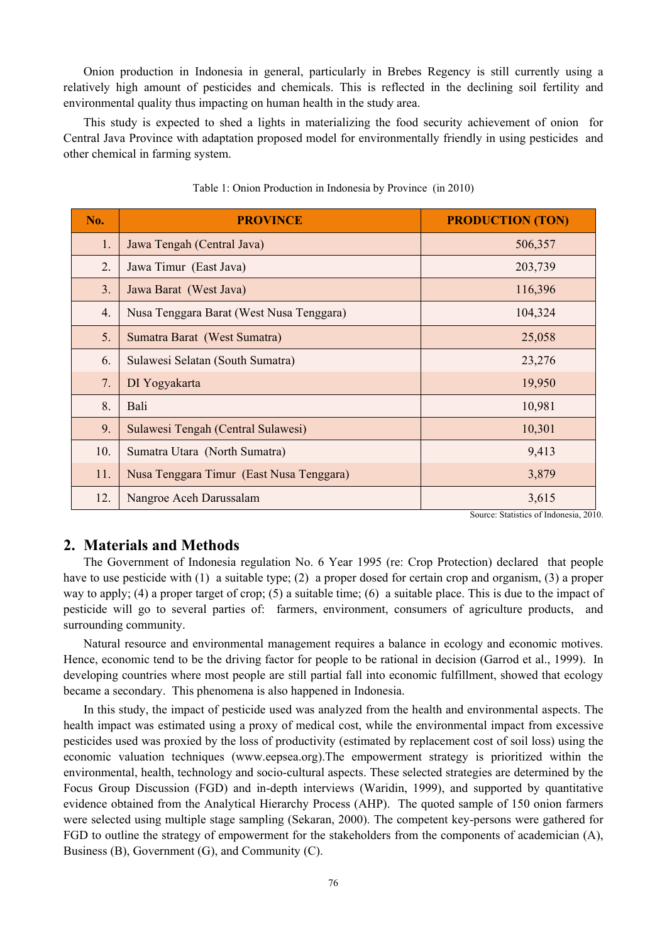Onion production in Indonesia in general, particularly in Brebes Regency is still currently using a relatively high amount of pesticides and chemicals. This is reflected in the declining soil fertility and environmental quality thus impacting on human health in the study area.

This study is expected to shed a lights in materializing the food security achievement of onion for Central Java Province with adaptation proposed model for environmentally friendly in using pesticides and other chemical in farming system.

| No. | <b>PROVINCE</b>                          | <b>PRODUCTION (TON)</b> |
|-----|------------------------------------------|-------------------------|
| 1.  | Jawa Tengah (Central Java)               | 506,357                 |
| 2.  | Jawa Timur (East Java)                   | 203,739                 |
| 3.  | Jawa Barat (West Java)                   | 116,396                 |
| 4.  | Nusa Tenggara Barat (West Nusa Tenggara) | 104,324                 |
| 5.  | Sumatra Barat (West Sumatra)             | 25,058                  |
| 6.  | Sulawesi Selatan (South Sumatra)         | 23,276                  |
| 7.  | DI Yogyakarta                            | 19,950                  |
| 8.  | Bali                                     | 10,981                  |
| 9.  | Sulawesi Tengah (Central Sulawesi)       | 10,301                  |
| 10. | Sumatra Utara (North Sumatra)            | 9,413                   |
| 11. | Nusa Tenggara Timur (East Nusa Tenggara) | 3,879                   |
| 12. | Nangroe Aceh Darussalam                  | 3,615                   |

#### Table 1: Onion Production in Indonesia by Province (in 2010)

Source: Statistics of Indonesia, 2010.

# **2. Materials and Methods**

The Government of Indonesia regulation No. 6 Year 1995 (re: Crop Protection) declared that people have to use pesticide with (1) a suitable type; (2) a proper dosed for certain crop and organism, (3) a proper way to apply; (4) a proper target of crop; (5) a suitable time; (6) a suitable place. This is due to the impact of pesticide will go to several parties of: farmers, environment, consumers of agriculture products, and surrounding community.

Natural resource and environmental management requires a balance in ecology and economic motives. Hence, economic tend to be the driving factor for people to be rational in decision (Garrod et al., 1999). In developing countries where most people are still partial fall into economic fulfillment, showed that ecology became a secondary. This phenomena is also happened in Indonesia.

In this study, the impact of pesticide used was analyzed from the health and environmental aspects. The health impact was estimated using a proxy of medical cost, while the environmental impact from excessive pesticides used was proxied by the loss of productivity (estimated by replacement cost of soil loss) using the economic valuation techniques (www.eepsea.org).The empowerment strategy is prioritized within the environmental, health, technology and socio-cultural aspects. These selected strategies are determined by the Focus Group Discussion (FGD) and in-depth interviews (Waridin, 1999), and supported by quantitative evidence obtained from the Analytical Hierarchy Process (AHP). The quoted sample of 150 onion farmers were selected using multiple stage sampling (Sekaran, 2000). The competent key-persons were gathered for FGD to outline the strategy of empowerment for the stakeholders from the components of academician (A), Business (B), Government (G), and Community (C).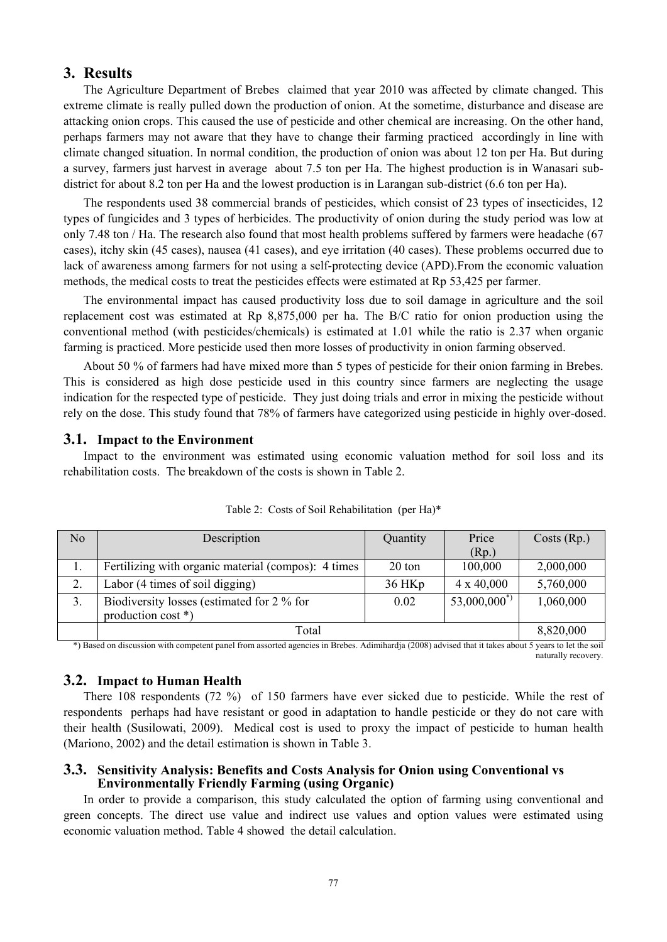# **3. Results**

The Agriculture Department of Brebes claimed that year 2010 was affected by climate changed. This extreme climate is really pulled down the production of onion. At the sometime, disturbance and disease are attacking onion crops. This caused the use of pesticide and other chemical are increasing. On the other hand, perhaps farmers may not aware that they have to change their farming practiced accordingly in line with climate changed situation. In normal condition, the production of onion was about 12 ton per Ha. But during a survey, farmers just harvest in average about 7.5 ton per Ha. The highest production is in Wanasari subdistrict for about 8.2 ton per Ha and the lowest production is in Larangan sub-district (6.6 ton per Ha).

The respondents used 38 commercial brands of pesticides, which consist of 23 types of insecticides, 12 types of fungicides and 3 types of herbicides. The productivity of onion during the study period was low at only 7.48 ton / Ha. The research also found that most health problems suffered by farmers were headache (67 cases), itchy skin (45 cases), nausea (41 cases), and eye irritation (40 cases). These problems occurred due to lack of awareness among farmers for not using a self-protecting device (APD).From the economic valuation methods, the medical costs to treat the pesticides effects were estimated at Rp 53,425 per farmer.

The environmental impact has caused productivity loss due to soil damage in agriculture and the soil replacement cost was estimated at Rp 8,875,000 per ha. The B/C ratio for onion production using the conventional method (with pesticides/chemicals) is estimated at 1.01 while the ratio is 2.37 when organic farming is practiced. More pesticide used then more losses of productivity in onion farming observed.

About 50 % of farmers had have mixed more than 5 types of pesticide for their onion farming in Brebes. This is considered as high dose pesticide used in this country since farmers are neglecting the usage indication for the respected type of pesticide. They just doing trials and error in mixing the pesticide without rely on the dose. This study found that 78% of farmers have categorized using pesticide in highly over-dosed.

### **3.1. Impact to the Environment**

Impact to the environment was estimated using economic valuation method for soil loss and its rehabilitation costs. The breakdown of the costs is shown in Table 2.

| No | Description                                                      | Quantity  | Price             | Costs (Rp.) |
|----|------------------------------------------------------------------|-----------|-------------------|-------------|
|    |                                                                  |           | (Rp)              |             |
|    | Fertilizing with organic material (compos): 4 times              | 20 ton    | 100,000           | 2,000,000   |
| 2. | Labor (4 times of soil digging)                                  | 36 HKp    | $4 \times 40,000$ | 5,760,000   |
|    | Biodiversity losses (estimated for 2 % for<br>production cost *) | 0.02      | $53,000,000^*$    | 1,060,000   |
|    | Total                                                            | 8,820,000 |                   |             |

| Table 2: Costs of Soil Rehabilitation (per Ha)* |  |  |  |  |
|-------------------------------------------------|--|--|--|--|
|-------------------------------------------------|--|--|--|--|

\*) Based on discussion with competent panel from assorted agencies in Brebes. Adimihardja (2008) advised that it takes about 5 years to let the soil naturally recovery.

### **3.2. Impact to Human Health**

There 108 respondents (72 %) of 150 farmers have ever sicked due to pesticide. While the rest of respondents perhaps had have resistant or good in adaptation to handle pesticide or they do not care with their health (Susilowati, 2009). Medical cost is used to proxy the impact of pesticide to human health (Mariono, 2002) and the detail estimation is shown in Table 3.

#### **3.3. Sensitivity Analysis: Benefits and Costs Analysis for Onion using Conventional vs Environmentally Friendly Farming (using Organic)**

In order to provide a comparison, this study calculated the option of farming using conventional and green concepts. The direct use value and indirect use values and option values were estimated using economic valuation method. Table 4 showed the detail calculation.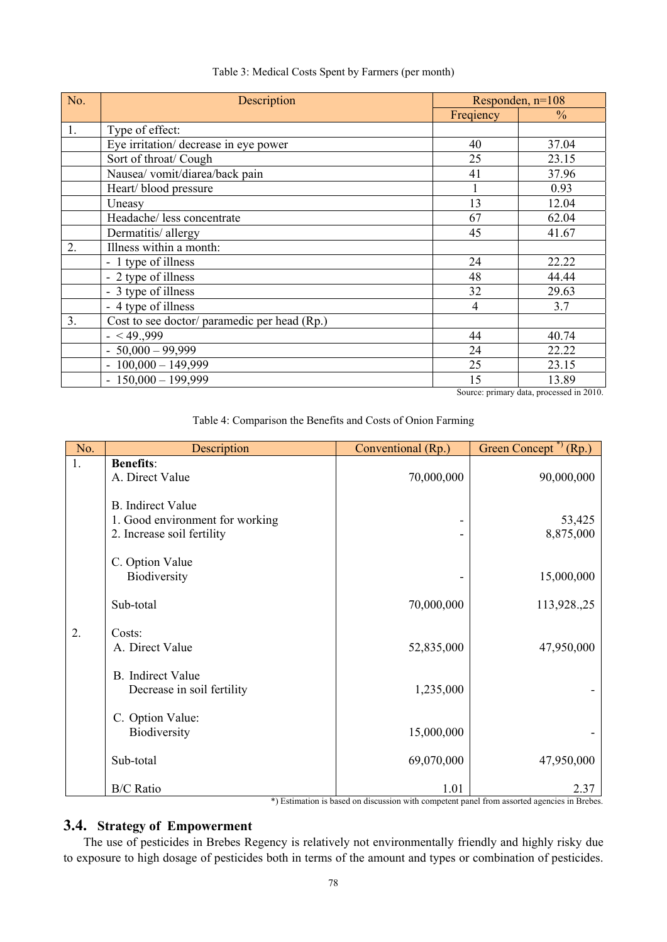| No. | Description                                  | Responden, $n=108$ |               |  |
|-----|----------------------------------------------|--------------------|---------------|--|
|     |                                              | Freqiency          | $\frac{0}{0}$ |  |
| 1.  | Type of effect:                              |                    |               |  |
|     | Eye irritation/ decrease in eye power        | 40                 | 37.04         |  |
|     | Sort of throat/ Cough                        | 25                 | 23.15         |  |
|     | Nausea/vomit/diarea/back pain                | 41                 | 37.96         |  |
|     | Heart/blood pressure                         |                    | 0.93          |  |
|     | Uneasy                                       | 13                 | 12.04         |  |
|     | Headache/ less concentrate                   | 67                 | 62.04         |  |
|     | Dermatitis/allergy                           | 45                 | 41.67         |  |
| 2.  | Illness within a month:                      |                    |               |  |
|     | - 1 type of illness                          | 24                 | 22.22         |  |
|     | - 2 type of illness                          | 48                 | 44.44         |  |
|     | - 3 type of illness                          | 32                 | 29.63         |  |
|     | - 4 type of illness                          | $\overline{4}$     | 3.7           |  |
| 3.  | Cost to see doctor/ paramedic per head (Rp.) |                    |               |  |
|     | $- < 49.999$                                 | 44                 | 40.74         |  |
|     | $-50,000 - 99,999$                           | 24                 | 22.22         |  |
|     | $-100,000 - 149,999$                         | 25                 | 23.15         |  |
|     | $-150,000 - 199,999$                         | 15                 | 13.89         |  |

#### Table 3: Medical Costs Spent by Farmers (per month)

Source: primary data, processed in 2010.

| Table 4: Comparison the Benefits and Costs of Onion Farming |  |  |  |  |  |
|-------------------------------------------------------------|--|--|--|--|--|
|                                                             |  |  |  |  |  |

| No. | Description                                                                               | Conventional (Rp.) | Green Concept <sup>*</sup> (Rp.) |
|-----|-------------------------------------------------------------------------------------------|--------------------|----------------------------------|
| 1.  | <b>Benefits:</b><br>A. Direct Value                                                       | 70,000,000         | 90,000,000                       |
|     | <b>B.</b> Indirect Value<br>1. Good environment for working<br>2. Increase soil fertility |                    | 53,425<br>8,875,000              |
|     | C. Option Value<br>Biodiversity                                                           |                    | 15,000,000                       |
|     | Sub-total                                                                                 | 70,000,000         | 113,928.,25                      |
| 2.  | Costs:<br>A. Direct Value                                                                 | 52,835,000         | 47,950,000                       |
|     | <b>B.</b> Indirect Value<br>Decrease in soil fertility                                    | 1,235,000          |                                  |
|     | C. Option Value:<br>Biodiversity                                                          | 15,000,000         |                                  |
|     | Sub-total                                                                                 | 69,070,000         | 47,950,000                       |
|     | <b>B/C</b> Ratio                                                                          | 1.01               | 2.37                             |

\*) Estimation is based on discussion with competent panel from assorted agencies in Brebes.

# **3.4. Strategy of Empowerment**

The use of pesticides in Brebes Regency is relatively not environmentally friendly and highly risky due to exposure to high dosage of pesticides both in terms of the amount and types or combination of pesticides.